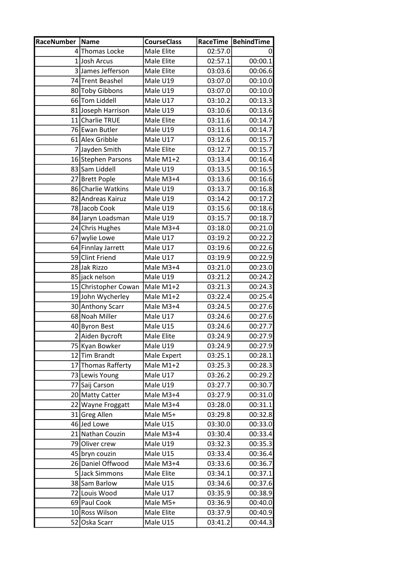| <b>RaceNumber Name</b> |                      | <b>CourseClass</b> |         | RaceTime   BehindTime |
|------------------------|----------------------|--------------------|---------|-----------------------|
|                        | 4 Thomas Locke       | Male Elite         | 02:57.0 | 0                     |
|                        | 1 Josh Arcus         | Male Elite         | 02:57.1 | 00:00.1               |
|                        | 3 James Jefferson    | Male Elite         | 03:03.6 | 00:06.6               |
|                        | 74 Trent Beashel     | Male U19           | 03:07.0 | 00:10.0               |
|                        | 80 Toby Gibbons      | Male U19           | 03:07.0 | 00:10.0               |
|                        | 66 Tom Liddell       | Male U17           | 03:10.2 | 00:13.3               |
|                        | 81 Joseph Harrison   | Male U19           | 03:10.6 | 00:13.6               |
|                        | 11 Charlie TRUE      | Male Elite         | 03:11.6 | 00:14.7               |
|                        | 76 Ewan Butler       | Male U19           | 03:11.6 | 00:14.7               |
|                        | 61 Alex Gribble      | Male U17           | 03:12.6 | 00:15.7               |
|                        | 7 Jayden Smith       | Male Elite         | 03:12.7 | 00:15.7               |
|                        | 16 Stephen Parsons   | Male M1+2          | 03:13.4 | 00:16.4               |
|                        | 83 Sam Liddell       | Male U19           | 03:13.5 | 00:16.5               |
|                        | 27 Brett Pople       | Male M3+4          | 03:13.6 | 00:16.6               |
|                        | 86 Charlie Watkins   | Male U19           | 03:13.7 | 00:16.8               |
|                        | 82 Andreas Kairuz    | Male U19           | 03:14.2 | 00:17.2               |
|                        | 78 Jacob Cook        | Male U19           | 03:15.6 | 00:18.6               |
|                        | 84 Jaryn Loadsman    | Male U19           | 03:15.7 | 00:18.7               |
|                        | 24 Chris Hughes      | Male M3+4          | 03:18.0 | 00:21.0               |
|                        | 67 wylie Lowe        | Male U17           | 03:19.2 | 00:22.2               |
|                        | 64 Finnlay Jarrett   | Male U17           | 03:19.6 | 00:22.6               |
|                        | 59 Clint Friend      | Male U17           | 03:19.9 | 00:22.9               |
|                        | 28 Jak Rizzo         | Male M3+4          | 03:21.0 | 00:23.0               |
|                        | 85 jack nelson       | Male U19           | 03:21.2 | 00:24.2               |
|                        | 15 Christopher Cowan | Male M1+2          | 03:21.3 | 00:24.3               |
|                        | 19 John Wycherley    | Male M1+2          | 03:22.4 | 00:25.4               |
|                        | 30 Anthony Scarr     | Male M3+4          | 03:24.5 | 00:27.6               |
|                        | 68 Noah Miller       | Male U17           | 03:24.6 | 00:27.6               |
|                        | 40 Byron Best        | Male U15           | 03:24.6 | 00:27.7               |
|                        | 2 Aiden Bycroft      | Male Elite         | 03:24.9 | 00:27.9               |
|                        | 75 Kyan Bowker       | Male U19           | 03:24.9 | 00:27.9               |
|                        | 12Tim Brandt         | Male Expert        | 03:25.1 | 00:28.1               |
|                        | 17 Thomas Rafferty   | Male M1+2          | 03:25.3 | 00:28.3               |
|                        | 73 Lewis Young       | Male U17           | 03:26.2 | 00:29.2               |
|                        | 77 Saij Carson       | Male U19           | 03:27.7 | 00:30.7               |
|                        | 20 Matty Catter      | Male M3+4          | 03:27.9 | 00:31.0               |
|                        | 22 Wayne Froggatt    | Male M3+4          | 03:28.0 | 00:31.1               |
|                        | 31 Greg Allen        | Male M5+           | 03:29.8 | 00:32.8               |
|                        | 46 Jed Lowe          | Male U15           | 03:30.0 | 00:33.0               |
|                        | 21 Nathan Couzin     | Male M3+4          | 03:30.4 | 00:33.4               |
|                        | 79 Oliver crew       | Male U19           | 03:32.3 | 00:35.3               |
|                        | 45 bryn couzin       | Male U15           | 03:33.4 | 00:36.4               |
|                        | 26 Daniel Offwood    | Male M3+4          | 03:33.6 | 00:36.7               |
|                        | 5 Jack Simmons       | Male Elite         | 03:34.1 | 00:37.1               |
|                        | 38 Sam Barlow        | Male U15           | 03:34.6 | 00:37.6               |
|                        | 72 Louis Wood        | Male U17           | 03:35.9 | 00:38.9               |
|                        | 69 Paul Cook         | Male M5+           | 03:36.9 | 00:40.0               |
|                        | 10 Ross Wilson       | Male Elite         | 03:37.9 | 00:40.9               |
| 52                     | Oska Scarr           | Male U15           | 03:41.2 | 00:44.3               |